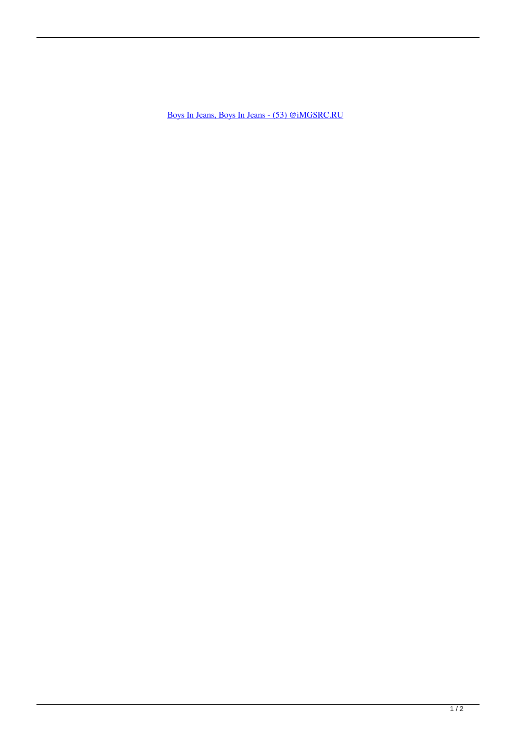[Boys In Jeans, Boys In Jeans - \(53\) @iMGSRC.RU](https://byltly.com/270inh)